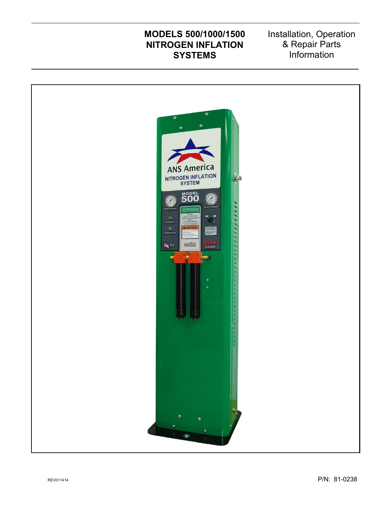# **MODELS 500/1000/1500 NITROGEN INFLATION SYSTEMS**

Installation, Operation & Repair Parts Information

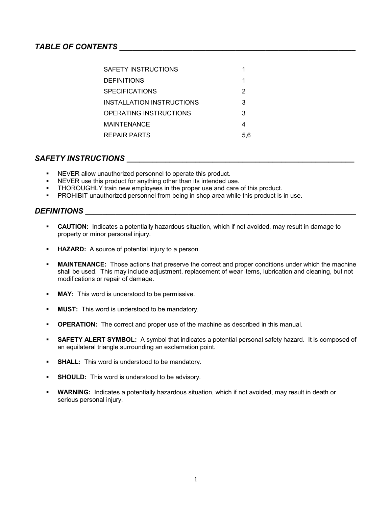### *TABLE OF CONTENTS \_\_\_\_\_\_\_\_\_\_\_\_\_\_\_\_\_\_\_\_\_\_\_\_\_\_\_\_\_\_\_\_\_\_\_\_\_\_\_\_\_\_\_\_\_\_\_\_\_\_\_\_\_\_\_*

| SAFETY INSTRUCTIONS       |     |
|---------------------------|-----|
| <b>DEFINITIONS</b>        |     |
| <b>SPECIFICATIONS</b>     | 2   |
| INSTALLATION INSTRUCTIONS | 3   |
| OPERATING INSTRUCTIONS    | 3   |
| MAINTENANCE               |     |
| <b>REPAIR PARTS</b>       | 5.6 |

### $\bm{\mathsf{SAFETY}}$  INSTRUCTIONS

- NEVER allow unauthorized personnel to operate this product.
- NEVER use this product for anything other than its intended use.
- **THOROUGHLY** train new employees in the proper use and care of this product.
- PROHIBIT unauthorized personnel from being in shop area while this product is in use.

### *DEFINITIONS \_\_\_\_\_\_\_\_\_\_\_\_\_\_\_\_\_\_\_\_\_\_\_\_\_\_\_\_\_\_\_\_\_\_\_\_\_\_\_\_\_\_\_\_\_\_\_\_\_\_\_\_\_\_\_\_\_\_\_\_\_\_\_*

- **CAUTION:** Indicates a potentially hazardous situation, which if not avoided, may result in damage to property or minor personal injury.
- **HAZARD:** A source of potential injury to a person.
- **MAINTENANCE:** Those actions that preserve the correct and proper conditions under which the machine shall be used. This may include adjustment, replacement of wear items, lubrication and cleaning, but not modifications or repair of damage.
- **MAY:** This word is understood to be permissive.
- **MUST:** This word is understood to be mandatory.
- **OPERATION:** The correct and proper use of the machine as described in this manual.
- **SAFETY ALERT SYMBOL:** A symbol that indicates a potential personal safety hazard. It is composed of an equilateral triangle surrounding an exclamation point.
- **SHALL:** This word is understood to be mandatory.
- **SHOULD:** This word is understood to be advisory.
- **WARNING:** Indicates a potentially hazardous situation, which if not avoided, may result in death or serious personal injury.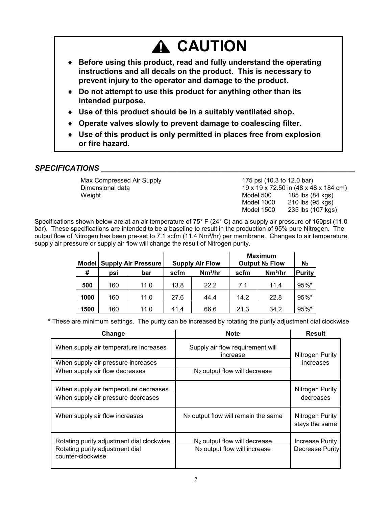# **A CAUTION**

- **Before using this product, read and fully understand the operating instructions and all decals on the product. This is necessary to prevent injury to the operator and damage to the product.**
- **Do not attempt to use this product for anything other than its intended purpose.**
- **Use of this product should be in a suitably ventilated shop.**
- **Operate valves slowly to prevent damage to coalescing filter.**
- **Use of this product is only permitted in places free from explosion or fire hazard.**

# $SPECIFICATIONS$ **.**

Max Compressed Air Supply 175 psi (10.3 to 12.0 bar)

Dimensional data 19 x 19 x 72.50 in (48 x 48 x 184 cm) Weight Model 500 185 lbs (84 kgs) Model 1000 210 lbs (95 kgs) Model 1500 235 lbs (107 kgs)

Specifications shown below are at an air temperature of 75° F (24° C) and a supply air pressure of 160psi (11.0 bar). These specifications are intended to be a baseline to result in the production of 95% pure Nitrogen. The output flow of Nitrogen has been pre-set to 7.1 scfm (11.4 Nm<sup>3</sup>/hr) per membrane. Changes to air temperature, supply air pressure or supply air flow will change the result of Nitrogen purity.

| <b>Supply Air Pressure</b><br>Model |     | <b>Supply Air Flow</b> |      | <b>Maximum</b><br>Output $N_2$ Flow |      | N <sub>2</sub>      |               |
|-------------------------------------|-----|------------------------|------|-------------------------------------|------|---------------------|---------------|
| #                                   | psi | bar                    | scfm | Nm <sup>3</sup> /hr                 | scfm | Nm <sup>3</sup> /hr | <b>Purity</b> |
| 500                                 | 160 | 11.0                   | 13.8 | 22.2                                | 7.1  | 11.4                | $95\%$ *      |
| 1000                                | 160 | 11.0                   | 27.6 | 44.4                                | 14.2 | 22.8                | $95\%$ *      |
| 1500                                | 160 | 11.0                   | 41.4 | 66.6                                | 21.3 | 34.2                | $95\%$ *      |

\* These are minimum settings. The purity can be increased by rotating the purity adjustment dial clockwise

| Change                                                                                            | <b>Note</b>                                                      | <b>Result</b>                      |  |
|---------------------------------------------------------------------------------------------------|------------------------------------------------------------------|------------------------------------|--|
| When supply air temperature increases                                                             | Supply air flow requirement will<br>increase                     | Nitrogen Purity                    |  |
| When supply air pressure increases                                                                |                                                                  | increases                          |  |
| When supply air flow decreases                                                                    | N <sub>2</sub> output flow will decrease                         |                                    |  |
| When supply air temperature decreases<br>When supply air pressure decreases                       |                                                                  | Nitrogen Purity<br>decreases       |  |
| When supply air flow increases                                                                    | $N2$ output flow will remain the same                            | Nitrogen Purity<br>stays the same  |  |
| Rotating purity adjustment dial clockwise<br>Rotating purity adjustment dial<br>counter-clockwise | $N2$ output flow will decrease<br>$N2$ output flow will increase | Increase Purity<br>Decrease Purity |  |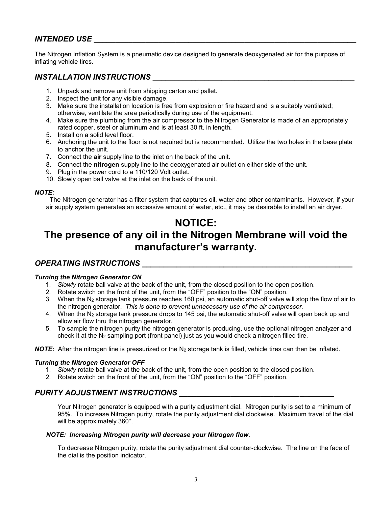### *INTENDED USE \_\_\_\_\_\_\_\_\_\_\_\_\_\_\_\_\_\_\_\_\_\_\_\_\_\_\_\_\_\_\_\_\_\_\_\_\_\_\_\_\_\_\_\_\_\_\_\_\_\_\_\_\_\_\_\_\_\_\_\_\_*

The Nitrogen Inflation System is a pneumatic device designed to generate deoxygenated air for the purpose of inflating vehicle tires.

### *INSTALLATION INSTRUCTIONS \_\_\_\_\_\_\_\_\_\_\_\_\_\_\_\_\_\_\_\_\_\_\_\_\_\_\_\_\_\_\_\_\_\_\_\_\_\_\_\_\_\_\_\_\_\_\_*

- 1. Unpack and remove unit from shipping carton and pallet.
- 2. Inspect the unit for any visible damage.
- 3. Make sure the installation location is free from explosion or fire hazard and is a suitably ventilated; otherwise, ventilate the area periodically during use of the equipment.
- 4. Make sure the plumbing from the air compressor to the Nitrogen Generator is made of an appropriately rated copper, steel or aluminum and is at least 30 ft. in length.
- 5. Install on a solid level floor.
- 6. Anchoring the unit to the floor is not required but is recommended. Utilize the two holes in the base plate to anchor the unit.
- 7. Connect the **air** supply line to the inlet on the back of the unit.
- 8. Connect the **nitrogen** supply line to the deoxygenated air outlet on either side of the unit.
- 9. Plug in the power cord to a 110/120 Volt outlet.
- 10. Slowly open ball valve at the inlet on the back of the unit.

#### *NOTE:*

 The Nitrogen generator has a filter system that captures oil, water and other contaminants. However, if your air supply system generates an excessive amount of water, etc., it may be desirable to install an air dryer.

# **NOTICE:**

# **The presence of any oil in the Nitrogen Membrane will void the manufacturer's warranty.**

### *OPERATING INSTRUCTIONS \_\_\_\_\_\_\_\_\_\_\_\_\_\_\_\_\_\_\_\_\_\_\_\_\_\_\_\_\_\_\_\_\_\_\_\_\_\_\_\_\_\_\_\_\_\_\_\_\_*

#### *Turning the Nitrogen Generator ON*

- 1. *Slowly* rotate ball valve at the back of the unit, from the closed position to the open position.
- 2. Rotate switch on the front of the unit, from the "OFF" position to the "ON" position.
- 3. When the N<sup>2</sup> storage tank pressure reaches 160 psi, an automatic shut-off valve will stop the flow of air to the nitrogen generator. *This is done to prevent unnecessary use of the air compressor.*
- 4. When the N<sup>2</sup> storage tank pressure drops to 145 psi, the automatic shut-off valve will open back up and allow air flow thru the nitrogen generator.
- 5. To sample the nitrogen purity the nitrogen generator is producing, use the optional nitrogen analyzer and check it at the  $N_2$  sampling port (front panel) just as you would check a nitrogen filled tire.

**NOTE:** After the nitrogen line is pressurized or the N<sub>2</sub> storage tank is filled, vehicle tires can then be inflated.

#### *Turning the Nitrogen Generator OFF*

- 1. *Slowly* rotate ball valve at the back of the unit, from the open position to the closed position.
- 2. Rotate switch on the front of the unit, from the "ON" position to the "OFF" position.

### *PURITY ADJUSTMENT INSTRUCTIONS \_\_\_\_\_\_\_\_\_\_\_\_\_\_\_\_\_\_\_\_\_\_\_\_\_\_\_\_\_\_ \_*

Your Nitrogen generator is equipped with a purity adjustment dial. Nitrogen purity is set to a minimum of 95%. To increase Nitrogen purity, rotate the purity adjustment dial clockwise. Maximum travel of the dial will be approximately 360°.

#### *NOTE: Increasing Nitrogen purity will decrease your Nitrogen flow.*

To decrease Nitrogen purity, rotate the purity adjustment dial counter-clockwise. The line on the face of the dial is the position indicator.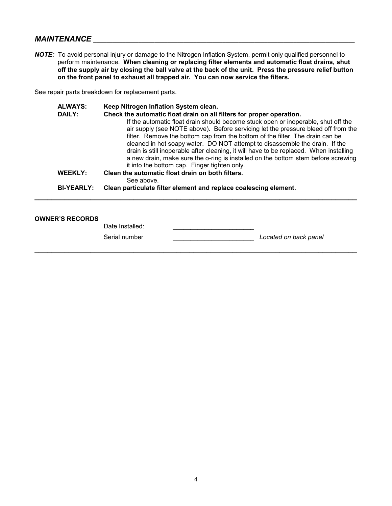### *MAINTENANCE* **\_\_\_\_\_\_\_\_\_\_\_\_\_\_\_\_\_\_\_\_\_\_\_\_\_\_\_\_\_\_\_\_\_\_\_\_\_\_\_\_\_\_\_\_\_\_\_\_\_\_\_\_\_\_\_\_\_\_\_\_\_\_\_\_\_\_\_\_\_\_\_\_\_\_\_\_\_\_\_\_\_**

*NOTE:* To avoid personal injury or damage to the Nitrogen Inflation System, permit only qualified personnel to perform maintenance. **When cleaning or replacing filter elements and automatic float drains, shut off the supply air by closing the ball valve at the back of the unit. Press the pressure relief button on the front panel to exhaust all trapped air. You can now service the filters.**

See repair parts breakdown for replacement parts.

| <b>ALWAYS:</b>    | Keep Nitrogen Inflation System clean.                                                  |
|-------------------|----------------------------------------------------------------------------------------|
| <b>DAILY:</b>     | Check the automatic float drain on all filters for proper operation.                   |
|                   | If the automatic float drain should become stuck open or inoperable, shut off the      |
|                   | air supply (see NOTE above). Before servicing let the pressure bleed off from the      |
|                   | filter. Remove the bottom cap from the bottom of the filter. The drain can be          |
|                   | cleaned in hot soapy water. DO NOT attempt to disassemble the drain. If the            |
|                   | drain is still inoperable after cleaning, it will have to be replaced. When installing |
|                   | a new drain, make sure the o-ring is installed on the bottom stem before screwing      |
|                   | it into the bottom cap. Finger tighten only.                                           |
| <b>WEEKLY:</b>    | Clean the automatic float drain on both filters.                                       |
|                   | See above.                                                                             |
| <b>BI-YEARLY:</b> | Clean particulate filter element and replace coalescing element.                       |

*\_\_\_\_\_\_\_\_\_\_\_\_\_\_\_\_\_\_\_\_\_\_\_\_\_\_\_\_\_\_\_\_\_\_\_\_\_\_\_\_\_\_\_\_\_\_\_\_\_\_\_\_\_\_\_\_\_\_\_\_\_\_\_\_\_\_\_\_\_\_\_\_\_\_\_*

#### **OWNER'S RECORDS**

Date Installed:

Serial number \_\_\_\_\_\_\_\_\_\_\_\_\_\_\_\_\_\_\_\_\_\_\_ *Located on back panel*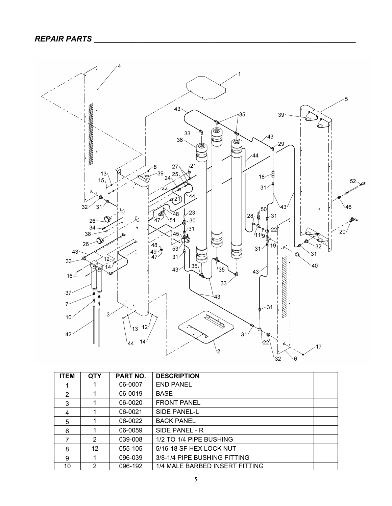

| <b>ITEM</b> | <b>QTY</b> | <b>PART NO.</b> | <b>DESCRIPTION</b>             |  |
|-------------|------------|-----------------|--------------------------------|--|
|             |            | 06-0007         | <b>END PANEL</b>               |  |
| 2           |            | 06-0019         | <b>BASE</b>                    |  |
| 3           |            | 06-0020         | <b>FRONT PANEL</b>             |  |
| 4           |            | 06-0021         | SIDE PANEL-L                   |  |
| 5           |            | 06-0022         | <b>BACK PANEL</b>              |  |
| 6           |            | 06-0059         | SIDE PANEL - R                 |  |
| 7           | 2          | 039-008         | 1/2 TO 1/4 PIPE BUSHING        |  |
| 8           | 12         | 055-105         | 5/16-18 SF HEX LOCK NUT        |  |
| 9           |            | 096-039         | 3/8-1/4 PIPE BUSHING FITTING   |  |
| 10          | 2          | 096-192         | 1/4 MALE BARBED INSERT FITTING |  |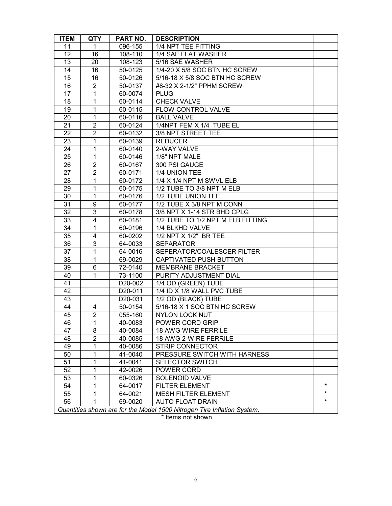| <b>ITEM</b> | <b>QTY</b>                                                              | PART NO. | <b>DESCRIPTION</b>                |         |  |
|-------------|-------------------------------------------------------------------------|----------|-----------------------------------|---------|--|
| 11          | 1                                                                       | 096-155  | 1/4 NPT TEE FITTING               |         |  |
| 12          | 16                                                                      | 108-110  | 1/4 SAE FLAT WASHER               |         |  |
| 13          | 20                                                                      | 108-123  | 5/16 SAE WASHER                   |         |  |
| 14          | 16                                                                      | 50-0125  | 1/4-20 X 5/8 SOC BTN HC SCREW     |         |  |
| 15          | 16                                                                      | 50-0126  | 5/16-18 X 5/8 SOC BTN HC SCREW    |         |  |
| 16          | $\overline{c}$                                                          | 50-0137  | #8-32 X 2-1/2" PPHM SCREW         |         |  |
| 17          | $\mathbf{1}$                                                            | 60-0074  | <b>PLUG</b>                       |         |  |
| 18          | 1                                                                       | 60-0114  | <b>CHECK VALVE</b>                |         |  |
| 19          | $\mathbf{1}$                                                            | 60-0115  | FLOW CONTROL VALVE                |         |  |
| 20          | $\mathbf{1}$                                                            | 60-0116  | <b>BALL VALVE</b>                 |         |  |
| 21          | $\overline{2}$                                                          | 60-0124  | 1/4NPT FEM X 1/4 TUBE EL          |         |  |
| 22          | 2                                                                       | 60-0132  | 3/8 NPT STREET TEE                |         |  |
| 23          | 1                                                                       | 60-0139  | <b>REDUCER</b>                    |         |  |
| 24          | $\mathbf 1$                                                             | 60-0140  | 2-WAY VALVE                       |         |  |
| 25          | $\mathbf{1}$                                                            | 60-0146  | 1/8" NPT MALE                     |         |  |
| 26          | $\overline{2}$                                                          | 60-0167  | 300 PSI GAUGE                     |         |  |
| 27          | $\boldsymbol{2}$                                                        | 60-0171  | 1/4 UNION TEE                     |         |  |
| 28          | $\mathbf 1$                                                             | 60-0172  | 1/4 X 1/4 NPT M SWVL ELB          |         |  |
| 29          | $\mathbf{1}$                                                            | 60-0175  | 1/2 TUBE TO 3/8 NPT M ELB         |         |  |
| 30          | 1                                                                       | 60-0176  | 1/2 TUBE UNION TEE                |         |  |
| 31          | 9                                                                       | 60-0177  | 1/2 TUBE X 3/8 NPT M CONN         |         |  |
| 32          | 3                                                                       | 60-0178  | 3/8 NPT X 1-14 STR BHD CPLG       |         |  |
| 33          | $\overline{4}$                                                          | 60-0181  | 1/2 TUBE TO 1/2 NPT M ELB FITTING |         |  |
| 34          | $\mathbf{1}$                                                            | 60-0196  | 1/4 BLKHD VALVE                   |         |  |
| 35          | 4                                                                       | 60-0202  | 1/2 NPT X 1/2" BR TEE             |         |  |
| 36          | 3                                                                       | 64-0033  | <b>SEPARATOR</b>                  |         |  |
| 37          | $\overline{1}$                                                          | 64-0016  | SEPERATOR/COALESCER FILTER        |         |  |
| 38          | 1                                                                       | 69-0029  | CAPTIVATED PUSH BUTTON            |         |  |
| 39          | 6                                                                       | 72-0140  | <b>MEMBRANE BRACKET</b>           |         |  |
| 40          | $\mathbf{1}$                                                            | 73-1100  | PURITY ADJUSTMENT DIAL            |         |  |
| 41          |                                                                         | D20-002  | 1/4 OD (GREEN) TUBE               |         |  |
| 42          |                                                                         | D20-011  | 1/4 ID X 1/8 WALL PVC TUBE        |         |  |
| 43          |                                                                         | D20-031  | 1/2 OD (BLACK) TUBE               |         |  |
| 44          | 4                                                                       | 50-0154  | 5/16-18 X 1 SOC BTN HC SCREW      |         |  |
| 45          | $\overline{2}$                                                          | 055-160  | <b>NYLON LOCK NUT</b>             |         |  |
| 46          | 1                                                                       | 40-0083  | POWER CORD GRIP                   |         |  |
| 47          | 8                                                                       | 40-0084  | <b>18 AWG WIRE FERRILE</b>        |         |  |
| 48          | $\overline{2}$                                                          | 40-0085  | 18 AWG 2-WIRE FERRILE             |         |  |
| 49          | 1                                                                       | 40-0086  | <b>STRIP CONNECTOR</b>            |         |  |
| 50          | 1                                                                       | 41-0040  | PRESSURE SWITCH WITH HARNESS      |         |  |
| 51          | 1                                                                       | 41-0041  | <b>SELECTOR SWITCH</b>            |         |  |
| 52          | 1                                                                       | 42-0026  | POWER CORD                        |         |  |
| 53          | 1                                                                       | 60-0326  | SOLENOID VALVE                    |         |  |
| 54          | 1                                                                       | 64-0017  | FILTER ELEMENT                    | $\star$ |  |
| 55          | 1                                                                       | 64-0021  | MESH FILTER ELEMENT               | $\star$ |  |
| 56          |                                                                         | 69-0020  | <b>AUTO FLOAT DRAIN</b>           | $\star$ |  |
|             | Quantities shown are for the Model 1500 Nitrogen Tire Inflation System. |          |                                   |         |  |

\* Items not shown